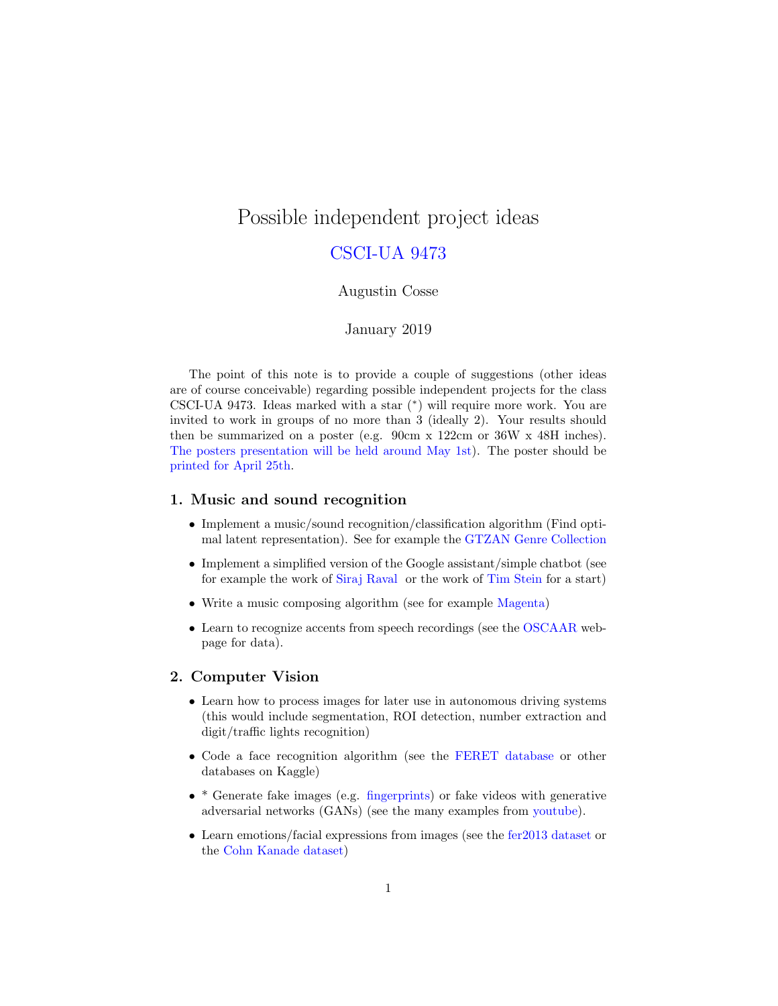# Possible independent project ideas

# CSCI-UA 9473

#### Augustin Cosse

### January 2019

The point of this note is to provide a couple of suggestions (other ideas are of course conceivable) regarding possible independent projects for the class CSCI-UA 9473. Ideas marked with a star (<sup>∗</sup> ) will require more work. You are invited to work in groups of no more than 3 (ideally 2). Your results should then be summarized on a poster (e.g. 90cm x 122cm or 36W x 48H inches). The posters presentation will be held around May 1st). The poster should be printed for April 25th.

#### 1. Music and sound recognition

- Implement a music/sound recognition/classification algorithm (Find optimal latent representation). See for example the [GTZAN Genre Collection](http://marsyas.info/downloads/datasets.html)
- Implement a simplified version of the Google assistant/simple chatbot (see for example the work of [Siraj Raval](https://github.com/llSourcell/chatbot_tutorial) or the work of [Tim Stein](https://www.kaggle.com/melkmanszoon/building-a-chatbot) for a start)
- Write a music composing algorithm (see for example [Magenta\)](https://magenta.tensorflow.org/)
- Learn to recognize accents from speech recordings (see the [OSCAAR](https://oscaar.ci.northwestern.edu/) webpage for data).

#### 2. Computer Vision

- Learn how to process images for later use in autonomous driving systems (this would include segmentation, ROI detection, number extraction and digit/traffic lights recognition)
- Code a face recognition algorithm (see the [FERET database](https://www.nist.gov/itl/iad/image-group/color-feret-database) or other databases on Kaggle)
- \* Generate fake images (e.g. [fingerprints\)](https://arxiv.org/pdf/1705.07386.pdf) or fake videos with generative adversarial networks (GANs) (see the many examples from [youtube\)](https://www.youtube.com/watch?v=gLoI9hAX9dw).
- Learn emotions/facial expressions from images (see the [fer2013 dataset](https://www.kaggle.com/c/challenges-in-representation-learning-facial-expression-recognition-challenge/data) or the [Cohn Kanade dataset\)](http://www.consortium.ri.cmu.edu/ckagree/)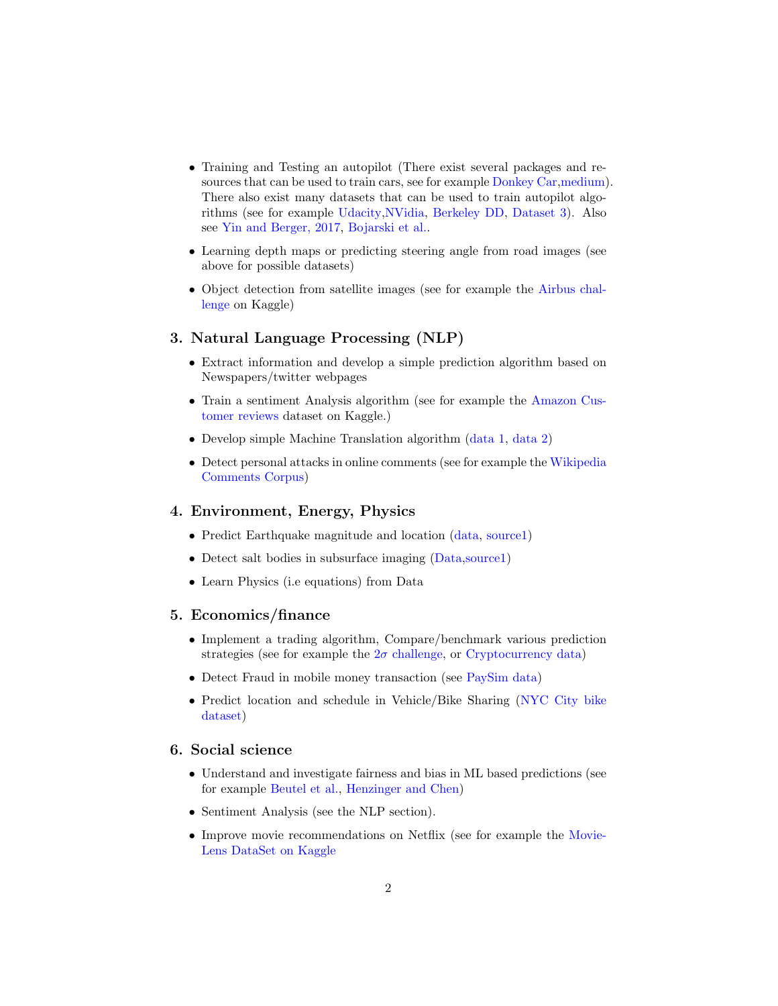- Training and Testing an autopilot (There exist several packages and re-sources that can be used to train cars, see for example [Donkey Car,](https://docs.donkeycar.com/) [medium\)](https://medium.com/@maxdeutsch/how-to-build-a-self-driving-car-in-one-month-d52df48f5b07). There also exist many datasets that can be used to train autopilot algorithms (see for example [Udacity](https://github.com/udacity/self-driving-car)[,NVidia,](https://www.kaggle.com/sameerqayyum/nvidia-self-driving-car-training-set) [Berkeley DD,](https://bdd-data.berkeley.edu/) [Dataset 3\)](https://github.com/SullyChen/driving-datasets). Also see [Yin and Berger, 2017,](https://github.com/acosse/IntroMLSpring2019/blob/master/Projects/Driving1.pdf) [Bojarski et al..](https://arxiv.org/pdf/1604.07316.pdf)
- Learning depth maps or predicting steering angle from road images (see above for possible datasets)
- Object detection from satellite images (see for example the [Airbus chal](https://www.kaggle.com/c/airbus-ship-detection)[lenge](https://www.kaggle.com/c/airbus-ship-detection) on Kaggle)

# 3. Natural Language Processing (NLP)

- Extract information and develop a simple prediction algorithm based on Newspapers/twitter webpages
- Train a sentiment Analysis algorithm (see for example the [Amazon Cus](https://www.kaggle.com/datafiniti/consumer-reviews-of-amazon-products)[tomer reviews](https://www.kaggle.com/datafiniti/consumer-reviews-of-amazon-products) dataset on Kaggle.)
- Develop simple Machine Translation algorithm [\(data 1,](https://www.kaggle.com/anubhav3377/machinetranslationengfra/home) [data 2\)](https://www.kaggle.com/team-ai/japaneseenglish-bilingual-corpus)
- Detect personal attacks in online comments (see for example the [Wikipedia](https://meta.wikimedia.org/wiki/Research:Detox/Data_Release) [Comments Corpus\)](https://meta.wikimedia.org/wiki/Research:Detox/Data_Release)

#### 4. Environment, Energy, Physics

- Predict Earthquake magnitude and location [\(data,](https://www.kaggle.com/usgs/earthquake-database) [source1\)](https://www.kaggle.com/sarat225/plotting-earthquake-data-on-a-world-map)
- Detect salt bodies in subsurface imaging [\(Data,](https://www.kaggle.com/c/tgs-salt-identification-challenge) [source1\)](https://www.kaggle.com/jesperdramsch/intro-to-seismic-salt-and-how-to-geophysics)
- Learn Physics (i.e equations) from Data

#### 5. Economics/finance

- Implement a trading algorithm, Compare/benchmark various prediction strategies (see for example the  $2\sigma$  [challenge,](https://www.kaggle.com/c/two-sigma-financial-modeling) or [Cryptocurrency data\)](https://www.kaggle.com/jessevent/all-crypto-currencies)
- Detect Fraud in mobile money transaction (see [PaySim data\)](https://www.kaggle.com/ntnu-testimon/paysim1)
- Predict location and schedule in Vehicle/Bike Sharing [\(NYC City bike](https://www.citibikenyc.com/system-data) [dataset\)](https://www.citibikenyc.com/system-data)

#### 6. Social science

- Understand and investigate fairness and bias in ML based predictions (see for example [Beutel et al.,](https://arxiv.org/pdf/1707.00075.pdf) [Henzinger and Chen\)](http://cs229.stanford.edu/proj2018/report/109.pdf)
- Sentiment Analysis (see the NLP section).
- Improve movie recommendations on Netflix (see for example the [Movie-]( https://www.kaggle.com/prajitdatta/movielens-100k-dataset)[Lens DataSet on Kaggle]( https://www.kaggle.com/prajitdatta/movielens-100k-dataset)